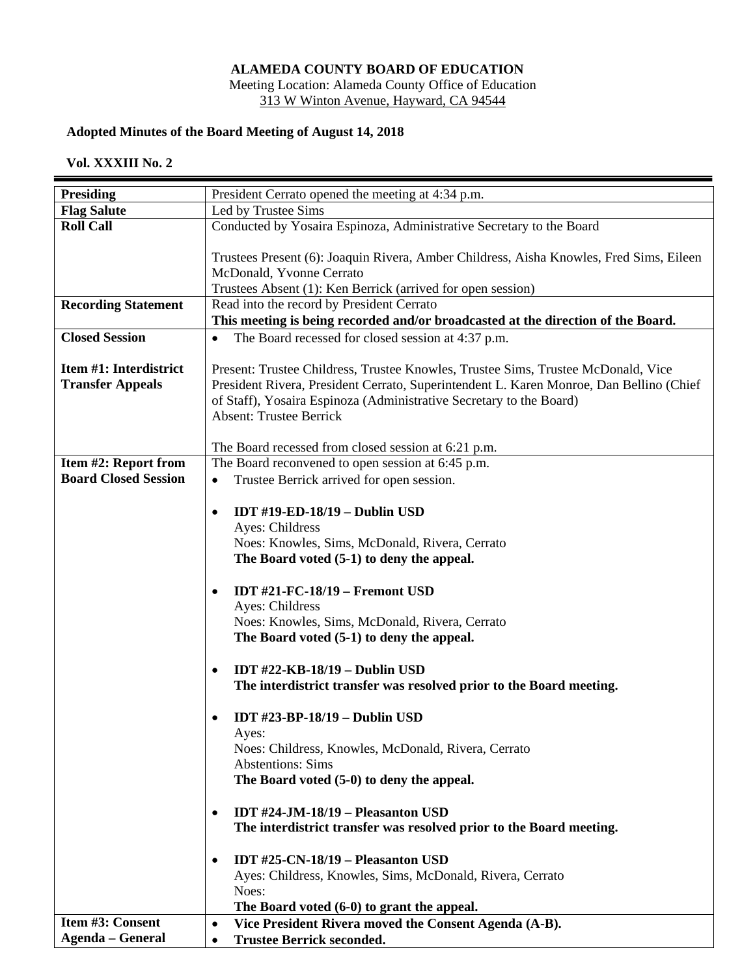## **ALAMEDA COUNTY BOARD OF EDUCATION**

Meeting Location: Alameda County Office of Education 313 W Winton Avenue, Hayward, CA 94544

## **Adopted Minutes of the Board Meeting of August 14, 2018**

## **Vol. XXXIII No. 2**

| <b>Presiding</b>            | President Cerrato opened the meeting at 4:34 p.m.                                       |
|-----------------------------|-----------------------------------------------------------------------------------------|
| <b>Flag Salute</b>          | Led by Trustee Sims                                                                     |
| <b>Roll Call</b>            | Conducted by Yosaira Espinoza, Administrative Secretary to the Board                    |
|                             |                                                                                         |
|                             | Trustees Present (6): Joaquin Rivera, Amber Childress, Aisha Knowles, Fred Sims, Eileen |
|                             | McDonald, Yvonne Cerrato                                                                |
|                             | Trustees Absent (1): Ken Berrick (arrived for open session)                             |
| <b>Recording Statement</b>  | Read into the record by President Cerrato                                               |
|                             | This meeting is being recorded and/or broadcasted at the direction of the Board.        |
| <b>Closed Session</b>       | The Board recessed for closed session at 4:37 p.m.<br>$\bullet$                         |
| Item #1: Interdistrict      | Present: Trustee Childress, Trustee Knowles, Trustee Sims, Trustee McDonald, Vice       |
| <b>Transfer Appeals</b>     | President Rivera, President Cerrato, Superintendent L. Karen Monroe, Dan Bellino (Chief |
|                             | of Staff), Yosaira Espinoza (Administrative Secretary to the Board)                     |
|                             | <b>Absent: Trustee Berrick</b>                                                          |
|                             |                                                                                         |
|                             | The Board recessed from closed session at 6:21 p.m.                                     |
| Item #2: Report from        | The Board reconvened to open session at 6:45 p.m.                                       |
| <b>Board Closed Session</b> | Trustee Berrick arrived for open session.<br>$\bullet$                                  |
|                             |                                                                                         |
|                             | <b>IDT #19-ED-18/19 - Dublin USD</b><br>$\bullet$                                       |
|                             | Ayes: Childress                                                                         |
|                             | Noes: Knowles, Sims, McDonald, Rivera, Cerrato                                          |
|                             | The Board voted (5-1) to deny the appeal.                                               |
|                             | <b>IDT #21-FC-18/19 - Fremont USD</b><br>$\bullet$                                      |
|                             | Ayes: Childress                                                                         |
|                             | Noes: Knowles, Sims, McDonald, Rivera, Cerrato                                          |
|                             | The Board voted (5-1) to deny the appeal.                                               |
|                             |                                                                                         |
|                             | IDT $\#22$ -KB-18/19 – Dublin USD<br>$\bullet$                                          |
|                             | The interdistrict transfer was resolved prior to the Board meeting.                     |
|                             |                                                                                         |
|                             | <b>IDT #23-BP-18/19 - Dublin USD</b>                                                    |
|                             | Ayes:                                                                                   |
|                             | Noes: Childress, Knowles, McDonald, Rivera, Cerrato                                     |
|                             | <b>Abstentions: Sims</b>                                                                |
|                             | The Board voted (5-0) to deny the appeal.                                               |
|                             | IDT #24-JM-18/19 - Pleasanton USD<br>$\bullet$                                          |
|                             | The interdistrict transfer was resolved prior to the Board meeting.                     |
|                             |                                                                                         |
|                             | IDT #25-CN-18/19 - Pleasanton USD<br>$\bullet$                                          |
|                             | Ayes: Childress, Knowles, Sims, McDonald, Rivera, Cerrato                               |
|                             | Noes:                                                                                   |
|                             | The Board voted (6-0) to grant the appeal.                                              |
| Item #3: Consent            | Vice President Rivera moved the Consent Agenda (A-B).<br>$\bullet$                      |
| <b>Agenda</b> - General     | <b>Trustee Berrick seconded.</b><br>$\bullet$                                           |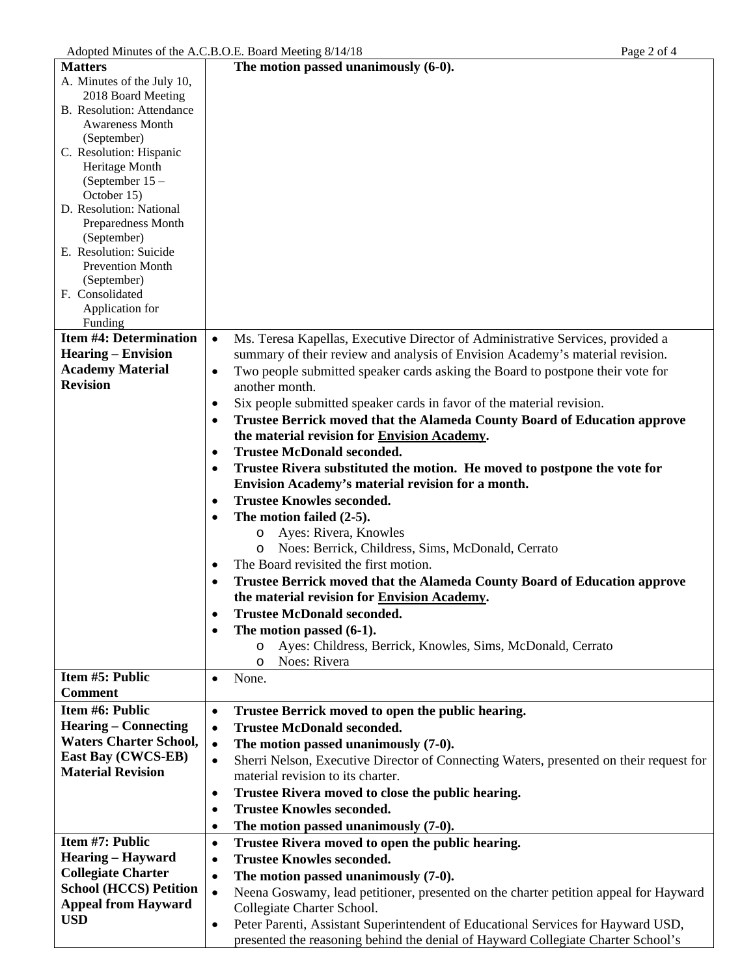| <b>Matters</b>                     | The motion passed unanimously $(6-0)$ .                                                                                                    |
|------------------------------------|--------------------------------------------------------------------------------------------------------------------------------------------|
| A. Minutes of the July 10,         |                                                                                                                                            |
| 2018 Board Meeting                 |                                                                                                                                            |
| B. Resolution: Attendance          |                                                                                                                                            |
| <b>Awareness Month</b>             |                                                                                                                                            |
| (September)                        |                                                                                                                                            |
| C. Resolution: Hispanic            |                                                                                                                                            |
| Heritage Month<br>(September $15-$ |                                                                                                                                            |
| October 15)                        |                                                                                                                                            |
| D. Resolution: National            |                                                                                                                                            |
| Preparedness Month                 |                                                                                                                                            |
| (September)                        |                                                                                                                                            |
| E. Resolution: Suicide             |                                                                                                                                            |
| Prevention Month                   |                                                                                                                                            |
| (September)                        |                                                                                                                                            |
| F. Consolidated                    |                                                                                                                                            |
| Application for                    |                                                                                                                                            |
| Funding                            |                                                                                                                                            |
| <b>Item #4: Determination</b>      | Ms. Teresa Kapellas, Executive Director of Administrative Services, provided a<br>$\bullet$                                                |
| <b>Hearing – Envision</b>          | summary of their review and analysis of Envision Academy's material revision.                                                              |
| <b>Academy Material</b>            | Two people submitted speaker cards asking the Board to postpone their vote for<br>$\bullet$                                                |
| <b>Revision</b>                    | another month.                                                                                                                             |
|                                    | Six people submitted speaker cards in favor of the material revision.<br>$\bullet$                                                         |
|                                    | <b>Trustee Berrick moved that the Alameda County Board of Education approve</b><br>$\bullet$                                               |
|                                    | the material revision for Envision Academy.                                                                                                |
|                                    | <b>Trustee McDonald seconded.</b><br>$\bullet$                                                                                             |
|                                    |                                                                                                                                            |
|                                    | Trustee Rivera substituted the motion. He moved to postpone the vote for<br>$\bullet$<br>Envision Academy's material revision for a month. |
|                                    |                                                                                                                                            |
|                                    | <b>Trustee Knowles seconded.</b><br>$\bullet$                                                                                              |
|                                    | The motion failed (2-5).<br>$\bullet$                                                                                                      |
|                                    | Ayes: Rivera, Knowles<br>$\circ$                                                                                                           |
|                                    | Noes: Berrick, Childress, Sims, McDonald, Cerrato<br>$\circ$                                                                               |
|                                    | The Board revisited the first motion.<br>٠                                                                                                 |
|                                    | Trustee Berrick moved that the Alameda County Board of Education approve                                                                   |
|                                    | the material revision for Envision Academy.                                                                                                |
|                                    | <b>Trustee McDonald seconded.</b>                                                                                                          |
|                                    | The motion passed (6-1).<br>$\bullet$                                                                                                      |
|                                    | Ayes: Childress, Berrick, Knowles, Sims, McDonald, Cerrato<br>$\circ$                                                                      |
|                                    | Noes: Rivera<br>$\circ$                                                                                                                    |
| Item #5: Public                    | None.<br>$\bullet$                                                                                                                         |
| <b>Comment</b>                     |                                                                                                                                            |
| Item #6: Public                    | Trustee Berrick moved to open the public hearing.<br>$\bullet$                                                                             |
| <b>Hearing – Connecting</b>        | <b>Trustee McDonald seconded.</b><br>$\bullet$                                                                                             |
| <b>Waters Charter School,</b>      | The motion passed unanimously (7-0).<br>$\bullet$                                                                                          |
| East Bay (CWCS-EB)                 |                                                                                                                                            |
| <b>Material Revision</b>           | Sherri Nelson, Executive Director of Connecting Waters, presented on their request for<br>$\bullet$<br>material revision to its charter.   |
|                                    |                                                                                                                                            |
|                                    | Trustee Rivera moved to close the public hearing.<br>٠                                                                                     |
|                                    | <b>Trustee Knowles seconded.</b><br>$\bullet$                                                                                              |
|                                    | The motion passed unanimously (7-0).<br>٠                                                                                                  |
| Item #7: Public                    | Trustee Rivera moved to open the public hearing.<br>$\bullet$                                                                              |
| <b>Hearing - Hayward</b>           | <b>Trustee Knowles seconded.</b><br>٠                                                                                                      |
| <b>Collegiate Charter</b>          | The motion passed unanimously (7-0).<br>$\bullet$                                                                                          |
| <b>School (HCCS) Petition</b>      | Neena Goswamy, lead petitioner, presented on the charter petition appeal for Hayward<br>$\bullet$                                          |
| <b>Appeal from Hayward</b>         | Collegiate Charter School.                                                                                                                 |
| <b>USD</b>                         | Peter Parenti, Assistant Superintendent of Educational Services for Hayward USD,<br>$\bullet$                                              |
|                                    | presented the reasoning behind the denial of Hayward Collegiate Charter School's                                                           |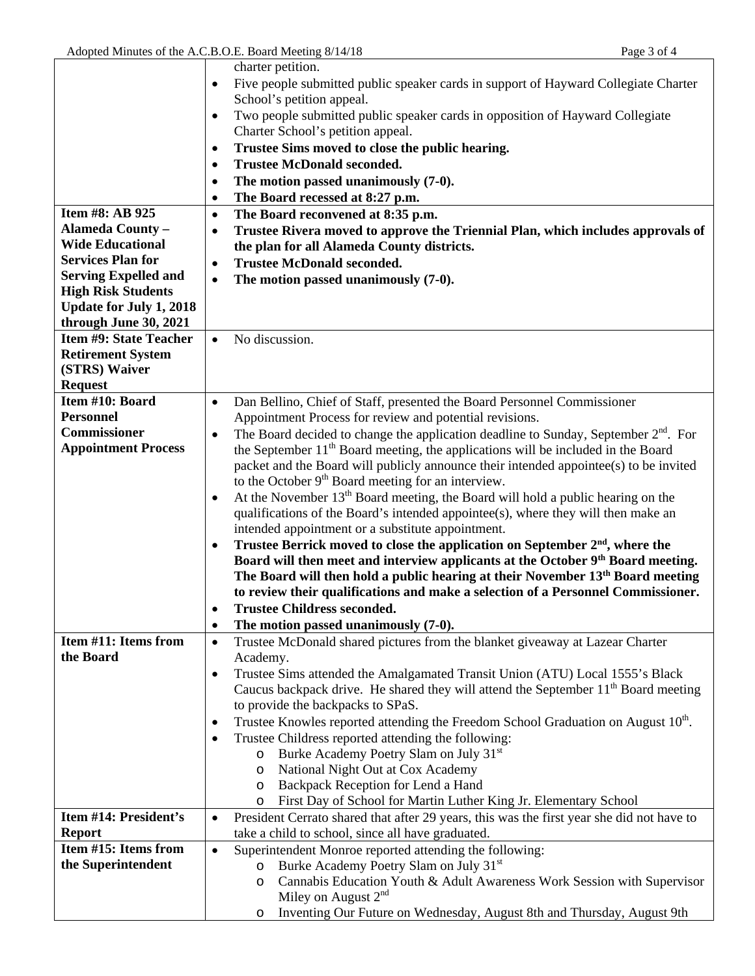$\mathbf{r}$ 

 $\overline{\phantom{0}}$ 

|                                       | charter petition.                                                                                           |
|---------------------------------------|-------------------------------------------------------------------------------------------------------------|
|                                       | Five people submitted public speaker cards in support of Hayward Collegiate Charter                         |
|                                       | School's petition appeal.                                                                                   |
|                                       | Two people submitted public speaker cards in opposition of Hayward Collegiate<br>$\bullet$                  |
|                                       | Charter School's petition appeal.                                                                           |
|                                       | Trustee Sims moved to close the public hearing.<br>$\bullet$                                                |
|                                       | <b>Trustee McDonald seconded.</b><br>$\bullet$                                                              |
|                                       | The motion passed unanimously (7-0).<br>$\bullet$                                                           |
|                                       | The Board recessed at 8:27 p.m.<br>$\bullet$                                                                |
| Item #8: AB 925                       | The Board reconvened at 8:35 p.m.<br>$\bullet$                                                              |
| <b>Alameda County -</b>               | Trustee Rivera moved to approve the Triennial Plan, which includes approvals of<br>٠                        |
| <b>Wide Educational</b>               | the plan for all Alameda County districts.                                                                  |
| <b>Services Plan for</b>              | <b>Trustee McDonald seconded.</b><br>$\bullet$                                                              |
| <b>Serving Expelled and</b>           | The motion passed unanimously (7-0).<br>$\bullet$                                                           |
| <b>High Risk Students</b>             |                                                                                                             |
| <b>Update for July 1, 2018</b>        |                                                                                                             |
| through June 30, 2021                 |                                                                                                             |
| <b>Item #9: State Teacher</b>         | No discussion.<br>$\bullet$                                                                                 |
| <b>Retirement System</b>              |                                                                                                             |
| (STRS) Waiver                         |                                                                                                             |
| <b>Request</b>                        |                                                                                                             |
| Item #10: Board                       | Dan Bellino, Chief of Staff, presented the Board Personnel Commissioner<br>$\bullet$                        |
| <b>Personnel</b>                      | Appointment Process for review and potential revisions.                                                     |
| <b>Commissioner</b>                   | The Board decided to change the application deadline to Sunday, September $2nd$ . For<br>٠                  |
| <b>Appointment Process</b>            | the September $11th$ Board meeting, the applications will be included in the Board                          |
|                                       | packet and the Board will publicly announce their intended appointee(s) to be invited                       |
|                                       | to the October 9 <sup>th</sup> Board meeting for an interview.                                              |
|                                       | At the November 13 <sup>th</sup> Board meeting, the Board will hold a public hearing on the<br>$\bullet$    |
|                                       | qualifications of the Board's intended appointee(s), where they will then make an                           |
|                                       | intended appointment or a substitute appointment.                                                           |
|                                       | Trustee Berrick moved to close the application on September 2 <sup>nd</sup> , where the<br>$\bullet$        |
|                                       | Board will then meet and interview applicants at the October 9th Board meeting.                             |
|                                       | The Board will then hold a public hearing at their November 13th Board meeting                              |
|                                       | to review their qualifications and make a selection of a Personnel Commissioner.                            |
|                                       | <b>Trustee Childress seconded.</b>                                                                          |
|                                       | The motion passed unanimously (7-0).<br>$\bullet$                                                           |
| Item #11: Items from                  | Trustee McDonald shared pictures from the blanket giveaway at Lazear Charter<br>$\bullet$                   |
| the Board                             | Academy.                                                                                                    |
|                                       | Trustee Sims attended the Amalgamated Transit Union (ATU) Local 1555's Black<br>٠                           |
|                                       | Caucus backpack drive. He shared they will attend the September $11th$ Board meeting                        |
|                                       | to provide the backpacks to SPaS.                                                                           |
|                                       | Trustee Knowles reported attending the Freedom School Graduation on August 10th.<br>٠                       |
|                                       | Trustee Childress reported attending the following:                                                         |
|                                       | o Burke Academy Poetry Slam on July 31 <sup>st</sup>                                                        |
|                                       | National Night Out at Cox Academy<br>$\circ$                                                                |
|                                       | o Backpack Reception for Lend a Hand                                                                        |
| Item #14: President's                 | First Day of School for Martin Luther King Jr. Elementary School<br>$\circ$                                 |
|                                       | President Cerrato shared that after 29 years, this was the first year she did not have to<br>$\bullet$      |
| <b>Report</b><br>Item #15: Items from | take a child to school, since all have graduated.                                                           |
| the Superintendent                    | Superintendent Monroe reported attending the following:<br>$\bullet$                                        |
|                                       | Burke Academy Poetry Slam on July 31 <sup>st</sup><br>$\circ$                                               |
|                                       | Cannabis Education Youth & Adult Awareness Work Session with Supervisor<br>$\circ$<br>Miley on August $2nd$ |
|                                       | Inventing Our Future on Wednesday, August 8th and Thursday, August 9th                                      |
|                                       | $\circ$                                                                                                     |